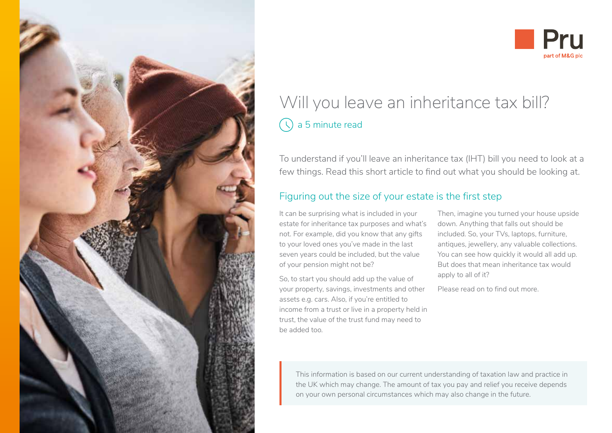



# Will you leave an inheritance tax bill?  $\bigcirc$  a 5 minute read

To understand if you'll leave an inheritance tax (IHT) bill you need to look at a few things. Read this short article to find out what you should be looking at.

## Figuring out the size of your estate is the first step

It can be surprising what is included in your estate for inheritance tax purposes and what's not. For example, did you know that any gifts to your loved ones you've made in the last seven years could be included, but the value of your pension might not be?

So, to start you should add up the value of your property, savings, investments and other assets e.g. cars. Also, if you're entitled to income from a trust or live in a property held in trust, the value of the trust fund may need to be added too.

Then, imagine you turned your house upside down. Anything that falls out should be included. So, your TVs, laptops, furniture, antiques, jewellery, any valuable collections. You can see how quickly it would all add up. But does that mean inheritance tax would apply to all of it?

Please read on to find out more.

This information is based on our current understanding of taxation law and practice in the UK which may change. The amount of tax you pay and relief you receive depends on your own personal circumstances which may also change in the future.